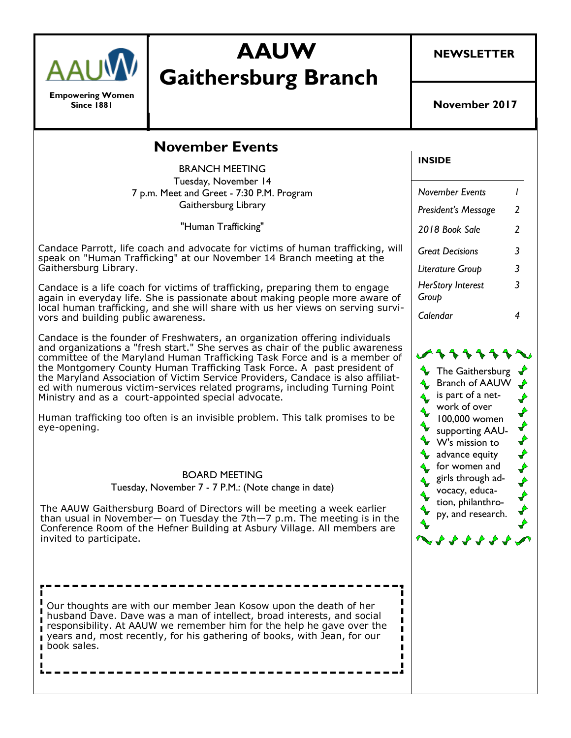

**Empowering Women Since 1881**

# **AAUW Gaithersburg Branch**

### **November Events**

BRANCH MEETING Tuesday, November 14 7 p.m. Meet and Greet - 7:30 P.M. Program Gaithersburg Library

"Human Trafficking"

Candace Parrott, life coach and advocate for victims of human trafficking, will speak on "Human Trafficking" at our November 14 Branch meeting at the Gaithersburg Library.

Candace is a life coach for victims of trafficking, preparing them to engage again in everyday life. She is passionate about making people more aware of local human trafficking, and she will share with us her views on serving survivors and building public awareness.

Candace is the founder of Freshwaters, an organization offering individuals and organizations a "fresh start." She serves as chair of the public awareness committee of the Maryland Human Trafficking Task Force and is a member of the Montgomery County Human Trafficking Task Force. A past president of the Maryland Association of Victim Service Providers, Candace is also affiliated with numerous victim-services related programs, including Turning Point Ministry and as a court-appointed special advocate.

Human trafficking too often is an invisible problem. This talk promises to be eye-opening.

BOARD MEETING

Tuesday, November 7 - 7 P.M.: (Note change in date)

The AAUW Gaithersburg Board of Directors will be meeting a week earlier than usual in November— on Tuesday the 7th—7 p.m. The meeting is in the Conference Room of the Hefner Building at Asbury Village. All members are invited to participate.

Our thoughts are with our member Jean Kosow upon the death of her husband Dave. Dave was a man of intellect, broad interests, and social responsibility. At AAUW we remember him for the help he gave over the п years and, most recently, for his gathering of books, with Jean, for our book sales.

#### **INSIDE**

| November Events            |   |
|----------------------------|---|
| President's Message        | 2 |
| 2018 Book Sale             | 2 |
| <b>Great Decisions</b>     | 3 |
| Literature Group           | 3 |
| HerStory Interest<br>Group | 3 |
| Calendar                   |   |

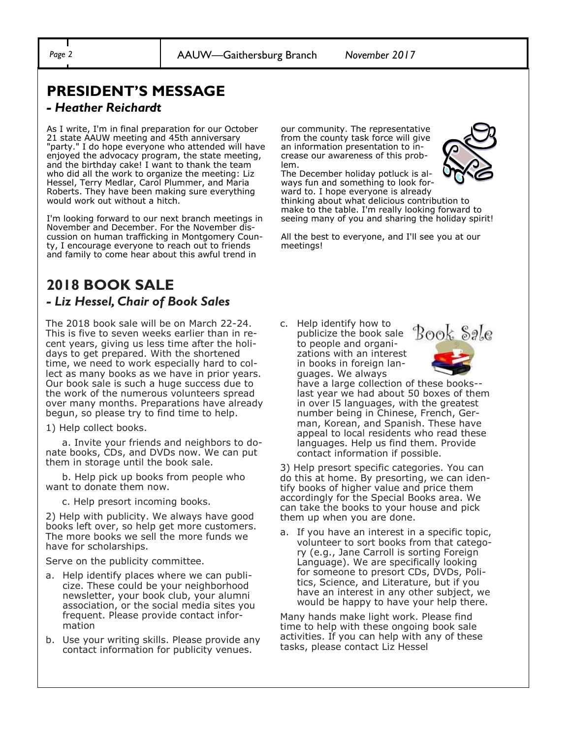## **PRESIDENT'S MESSAGE**

#### *- Heather Reichardt*

As I write, I'm in final preparation for our October 21 state AAUW meeting and 45th anniversary "party." I do hope everyone who attended will have enjoyed the advocacy program, the state meeting, and the birthday cake! I want to thank the team who did all the work to organize the meeting: Liz Hessel, Terry Medlar, Carol Plummer, and Maria Roberts. They have been making sure everything would work out without a hitch.

I'm looking forward to our next branch meetings in November and December. For the November discussion on human trafficking in Montgomery County, I encourage everyone to reach out to friends and family to come hear about this awful trend in

## **2018 BOOK SALE**  *- Liz Hessel, Chair of Book Sales*

The 2018 book sale will be on March 22-24. This is five to seven weeks earlier than in recent years, giving us less time after the holidays to get prepared. With the shortened time, we need to work especially hard to collect as many books as we have in prior years. Our book sale is such a huge success due to the work of the numerous volunteers spread over many months. Preparations have already begun, so please try to find time to help.

1) Help collect books.

 a. Invite your friends and neighbors to donate books, CDs, and DVDs now. We can put them in storage until the book sale.

 b. Help pick up books from people who want to donate them now.

c. Help presort incoming books.

2) Help with publicity. We always have good books left over, so help get more customers. The more books we sell the more funds we have for scholarships.

Serve on the publicity committee.

- a. Help identify places where we can publicize. These could be your neighborhood newsletter, your book club, your alumni association, or the social media sites you frequent. Please provide contact information
- b. Use your writing skills. Please provide any contact information for publicity venues.

our community. The representative from the county task force will give an information presentation to increase our awareness of this problem.

The December holiday potluck is always fun and something to look for-



ward to. I hope everyone is already thinking about what delicious contribution to make to the table. I'm really looking forward to seeing many of you and sharing the holiday spirit!

All the best to everyone, and I'll see you at our meetings!

c. Help identify how to publicize the book sale to people and organizations with an interest in books in foreign languages. We always



have a large collection of these books- last year we had about 50 boxes of them in over l5 languages, with the greatest number being in Chinese, French, German, Korean, and Spanish. These have appeal to local residents who read these languages. Help us find them. Provide contact information if possible.

3) Help presort specific categories. You can do this at home. By presorting, we can identify books of higher value and price them accordingly for the Special Books area. We can take the books to your house and pick them up when you are done.

a. If you have an interest in a specific topic, volunteer to sort books from that category (e.g., Jane Carroll is sorting Foreign Language). We are specifically looking for someone to presort CDs, DVDs, Politics, Science, and Literature, but if you have an interest in any other subject, we would be happy to have your help there.

Many hands make light work. Please find time to help with these ongoing book sale activities. If you can help with any of these tasks, please contact Liz Hessel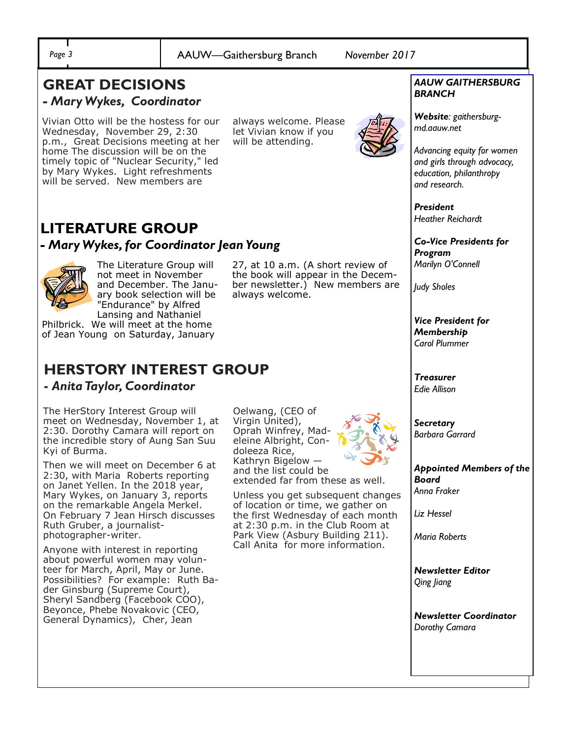*Page 3* AAUW—Gaithersburg Branch *November 2017*

#### **GREAT DECISIONS**  *- Mary Wykes, Coordinator*

Vivian Otto will be the hostess for our Wednesday, November 29, 2:30 p.m., Great Decisions meeting at her home The discussion will be on the timely topic of "Nuclear Security," led by Mary Wykes. Light refreshments will be served. New members are

always welcome. Please let Vivian know if you will be attending.



#### **LITERATURE GROUP** *- Mary Wykes, for Coordinator Jean Young*

The Literature Group will not meet in November and December. The January book selection will be "Endurance" by Alfred Lansing and Nathaniel

Philbrick. We will meet at the home of Jean Young on Saturday, January

## **HERSTORY INTEREST GROUP**

#### **-** *Anita Taylor, Coordinator*

The HerStory Interest Group will meet on Wednesday, November 1, at 2:30. Dorothy Camara will report on the incredible story of Aung San Suu Kyi of Burma.

Then we will meet on December 6 at 2:30, with Maria Roberts reporting on Janet Yellen. In the 2018 year, Mary Wykes, on January 3, reports on the remarkable Angela Merkel. On February 7 Jean Hirsch discusses Ruth Gruber, a journalistphotographer-writer.

Anyone with interest in reporting about powerful women may volunteer for March, April, May or June. Possibilities? For example: Ruth Bader Ginsburg (Supreme Court), Sheryl Sandberg (Facebook COO), Beyonce, Phebe Novakovic (CEO, General Dynamics), Cher, Jean

Oelwang, (CEO of Virgin United), Oprah Winfrey, Madeleine Albright, Condoleeza Rice, Kathryn Bigelow and the list could be extended far from these as well.

27, at 10 a.m. (A short review of the book will appear in the December newsletter.) New members are

always welcome.

Unless you get subsequent changes of location or time, we gather on the first Wednesday of each month at 2:30 p.m. in the Club Room at Park View (Asbury Building 211). Call Anita for more information.



#### *AAUW GAITHERSBURG BRANCH*

*Website: gaithersburgmd.aauw.net* 

*Advancing equity for women and girls through advocacy, education, philanthropy and research.*

*President Heather Reichardt*

*Co-Vice Presidents for Program Marilyn O'Connell*

*Judy Sholes*

*Vice President for Membership Carol Plummer*

*Treasurer Edie Allison*

*Secretary Barbara Garrard*

*Appointed Members of the Board Anna Fraker*

*Liz Hessel*

*Maria Roberts*

*Newsletter Editor Qing Jiang*

*Newsletter Coordinator Dorothy Camara*